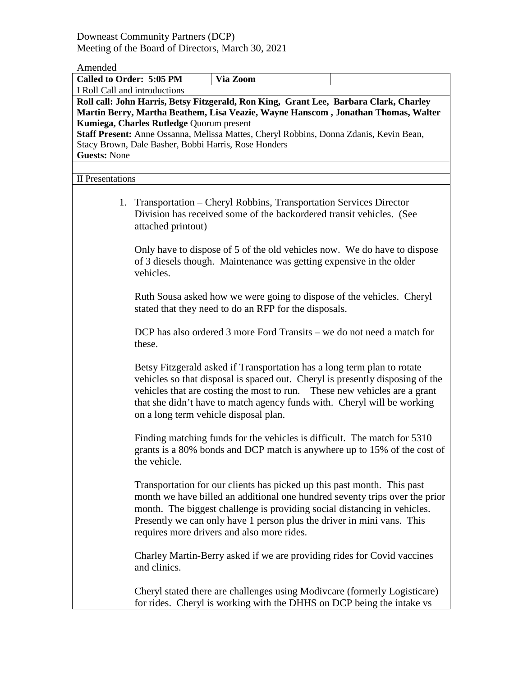Downeast Community Partners (DCP) Meeting of the Board of Directors, March 30, 2021

## Amended

| Called to Order: 5:05 PM                                                          |                                                                          | Via Zoom                                                                               |                                |  |  |
|-----------------------------------------------------------------------------------|--------------------------------------------------------------------------|----------------------------------------------------------------------------------------|--------------------------------|--|--|
| I Roll Call and introductions                                                     |                                                                          |                                                                                        |                                |  |  |
|                                                                                   |                                                                          | Roll call: John Harris, Betsy Fitzgerald, Ron King, Grant Lee, Barbara Clark, Charley  |                                |  |  |
| Martin Berry, Martha Beathem, Lisa Veazie, Wayne Hanscom, Jonathan Thomas, Walter |                                                                          |                                                                                        |                                |  |  |
| Kumiega, Charles Rutledge Quorum present                                          |                                                                          |                                                                                        |                                |  |  |
|                                                                                   |                                                                          | Staff Present: Anne Ossanna, Melissa Mattes, Cheryl Robbins, Donna Zdanis, Kevin Bean, |                                |  |  |
|                                                                                   | Stacy Brown, Dale Basher, Bobbi Harris, Rose Honders                     |                                                                                        |                                |  |  |
| <b>Guests: None</b>                                                               |                                                                          |                                                                                        |                                |  |  |
|                                                                                   |                                                                          |                                                                                        |                                |  |  |
| <b>II</b> Presentations                                                           |                                                                          |                                                                                        |                                |  |  |
|                                                                                   |                                                                          |                                                                                        |                                |  |  |
|                                                                                   |                                                                          | 1. Transportation – Cheryl Robbins, Transportation Services Director                   |                                |  |  |
|                                                                                   | Division has received some of the backordered transit vehicles. (See     |                                                                                        |                                |  |  |
|                                                                                   | attached printout)                                                       |                                                                                        |                                |  |  |
|                                                                                   |                                                                          |                                                                                        |                                |  |  |
|                                                                                   | Only have to dispose of 5 of the old vehicles now. We do have to dispose |                                                                                        |                                |  |  |
|                                                                                   | of 3 diesels though. Maintenance was getting expensive in the older      |                                                                                        |                                |  |  |
|                                                                                   | vehicles.                                                                |                                                                                        |                                |  |  |
|                                                                                   |                                                                          |                                                                                        |                                |  |  |
|                                                                                   |                                                                          | Ruth Sousa asked how we were going to dispose of the vehicles. Cheryl                  |                                |  |  |
|                                                                                   |                                                                          | stated that they need to do an RFP for the disposals.                                  |                                |  |  |
|                                                                                   |                                                                          |                                                                                        |                                |  |  |
|                                                                                   |                                                                          | DCP has also ordered 3 more Ford Transits – we do not need a match for                 |                                |  |  |
| these.                                                                            |                                                                          |                                                                                        |                                |  |  |
|                                                                                   |                                                                          |                                                                                        |                                |  |  |
|                                                                                   |                                                                          | Betsy Fitzgerald asked if Transportation has a long term plan to rotate                |                                |  |  |
|                                                                                   |                                                                          | vehicles so that disposal is spaced out. Cheryl is presently disposing of the          |                                |  |  |
|                                                                                   |                                                                          | vehicles that are costing the most to run.                                             | These new vehicles are a grant |  |  |
|                                                                                   |                                                                          | that she didn't have to match agency funds with. Cheryl will be working                |                                |  |  |
|                                                                                   |                                                                          | on a long term vehicle disposal plan.                                                  |                                |  |  |
|                                                                                   |                                                                          |                                                                                        |                                |  |  |
|                                                                                   |                                                                          | Finding matching funds for the vehicles is difficult. The match for 5310               |                                |  |  |
|                                                                                   |                                                                          | grants is a 80% bonds and DCP match is anywhere up to 15% of the cost of               |                                |  |  |
|                                                                                   |                                                                          |                                                                                        |                                |  |  |
|                                                                                   | the vehicle.                                                             |                                                                                        |                                |  |  |
|                                                                                   |                                                                          |                                                                                        |                                |  |  |
|                                                                                   |                                                                          | Transportation for our clients has picked up this past month. This past                |                                |  |  |
|                                                                                   |                                                                          | month we have billed an additional one hundred seventy trips over the prior            |                                |  |  |
|                                                                                   |                                                                          | month. The biggest challenge is providing social distancing in vehicles.               |                                |  |  |
|                                                                                   |                                                                          | Presently we can only have 1 person plus the driver in mini vans. This                 |                                |  |  |
|                                                                                   |                                                                          | requires more drivers and also more rides.                                             |                                |  |  |
|                                                                                   |                                                                          |                                                                                        |                                |  |  |
|                                                                                   |                                                                          | Charley Martin-Berry asked if we are providing rides for Covid vaccines                |                                |  |  |
|                                                                                   | and clinics.                                                             |                                                                                        |                                |  |  |
|                                                                                   |                                                                          |                                                                                        |                                |  |  |
|                                                                                   |                                                                          | Cheryl stated there are challenges using Modivcare (formerly Logisticare)              |                                |  |  |
|                                                                                   |                                                                          | for rides. Cheryl is working with the DHHS on DCP being the intake vs                  |                                |  |  |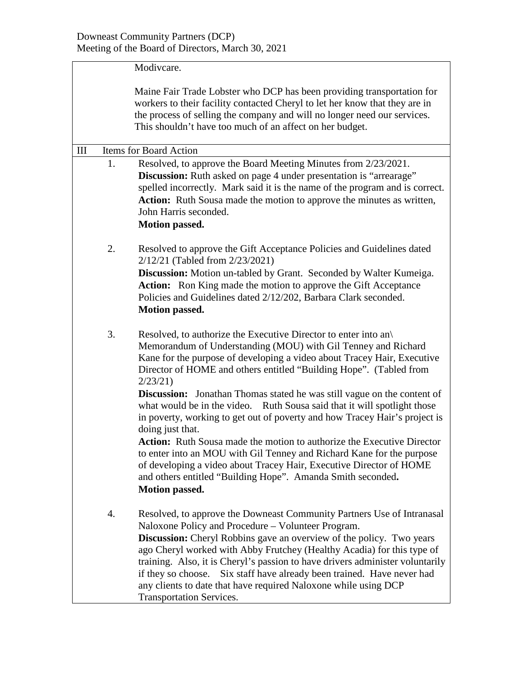|     | Modivcare.                                                                                                                                                                                                                                                                                                                                                                                                                                                                                                                                                                                                                                                                                                                                                                                                                                                                    |  |  |
|-----|-------------------------------------------------------------------------------------------------------------------------------------------------------------------------------------------------------------------------------------------------------------------------------------------------------------------------------------------------------------------------------------------------------------------------------------------------------------------------------------------------------------------------------------------------------------------------------------------------------------------------------------------------------------------------------------------------------------------------------------------------------------------------------------------------------------------------------------------------------------------------------|--|--|
|     | Maine Fair Trade Lobster who DCP has been providing transportation for<br>workers to their facility contacted Cheryl to let her know that they are in<br>the process of selling the company and will no longer need our services.<br>This shouldn't have too much of an affect on her budget.                                                                                                                                                                                                                                                                                                                                                                                                                                                                                                                                                                                 |  |  |
| III | <b>Items for Board Action</b>                                                                                                                                                                                                                                                                                                                                                                                                                                                                                                                                                                                                                                                                                                                                                                                                                                                 |  |  |
| 1.  | Resolved, to approve the Board Meeting Minutes from 2/23/2021.<br><b>Discussion:</b> Ruth asked on page 4 under presentation is "arrearage"<br>spelled incorrectly. Mark said it is the name of the program and is correct.<br>Action: Ruth Sousa made the motion to approve the minutes as written,<br>John Harris seconded.<br><b>Motion passed.</b>                                                                                                                                                                                                                                                                                                                                                                                                                                                                                                                        |  |  |
| 2.  | Resolved to approve the Gift Acceptance Policies and Guidelines dated<br>2/12/21 (Tabled from 2/23/2021)<br>Discussion: Motion un-tabled by Grant. Seconded by Walter Kumeiga.<br>Action: Ron King made the motion to approve the Gift Acceptance<br>Policies and Guidelines dated 2/12/202, Barbara Clark seconded.<br><b>Motion passed.</b>                                                                                                                                                                                                                                                                                                                                                                                                                                                                                                                                 |  |  |
| 3.  | Resolved, to authorize the Executive Director to enter into an<br>Memorandum of Understanding (MOU) with Gil Tenney and Richard<br>Kane for the purpose of developing a video about Tracey Hair, Executive<br>Director of HOME and others entitled "Building Hope". (Tabled from<br>2/23/21<br><b>Discussion:</b> Jonathan Thomas stated he was still vague on the content of<br>what would be in the video. Ruth Sousa said that it will spotlight those<br>in poverty, working to get out of poverty and how Tracey Hair's project is<br>doing just that.<br>Action: Ruth Sousa made the motion to authorize the Executive Director<br>to enter into an MOU with Gil Tenney and Richard Kane for the purpose<br>of developing a video about Tracey Hair, Executive Director of HOME<br>and others entitled "Building Hope". Amanda Smith seconded.<br><b>Motion passed.</b> |  |  |
| 4.  | Resolved, to approve the Downeast Community Partners Use of Intranasal<br>Naloxone Policy and Procedure – Volunteer Program.<br><b>Discussion:</b> Cheryl Robbins gave an overview of the policy. Two years<br>ago Cheryl worked with Abby Frutchey (Healthy Acadia) for this type of<br>training. Also, it is Cheryl's passion to have drivers administer voluntarily<br>Six staff have already been trained. Have never had<br>if they so choose.<br>any clients to date that have required Naloxone while using DCP<br><b>Transportation Services.</b>                                                                                                                                                                                                                                                                                                                     |  |  |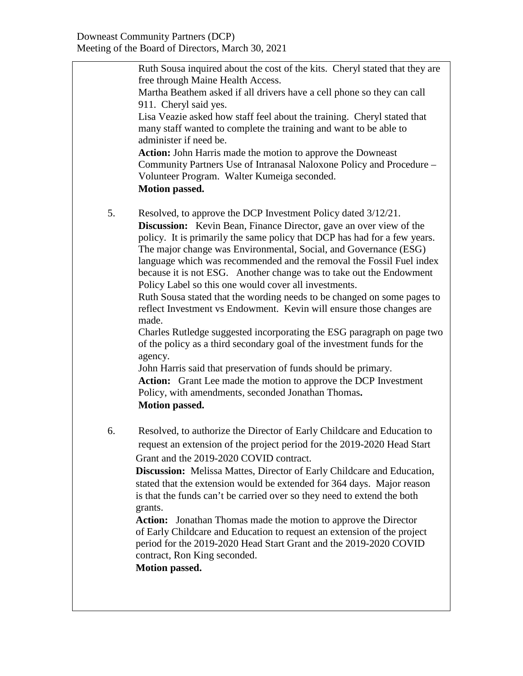|    | Ruth Sousa inquired about the cost of the kits. Cheryl stated that they are<br>free through Maine Health Access.<br>Martha Beathem asked if all drivers have a cell phone so they can call<br>911. Cheryl said yes.<br>Lisa Veazie asked how staff feel about the training. Cheryl stated that<br>many staff wanted to complete the training and want to be able to<br>administer if need be.<br><b>Action:</b> John Harris made the motion to approve the Downeast<br>Community Partners Use of Intranasal Naloxone Policy and Procedure -<br>Volunteer Program. Walter Kumeiga seconded.<br>Motion passed.                                                                                                                                                                                                                                                                                                                                                                                                                                 |
|----|----------------------------------------------------------------------------------------------------------------------------------------------------------------------------------------------------------------------------------------------------------------------------------------------------------------------------------------------------------------------------------------------------------------------------------------------------------------------------------------------------------------------------------------------------------------------------------------------------------------------------------------------------------------------------------------------------------------------------------------------------------------------------------------------------------------------------------------------------------------------------------------------------------------------------------------------------------------------------------------------------------------------------------------------|
| 5. | Resolved, to approve the DCP Investment Policy dated 3/12/21.<br><b>Discussion:</b> Kevin Bean, Finance Director, gave an over view of the<br>policy. It is primarily the same policy that DCP has had for a few years.<br>The major change was Environmental, Social, and Governance (ESG)<br>language which was recommended and the removal the Fossil Fuel index<br>because it is not ESG. Another change was to take out the Endowment<br>Policy Label so this one would cover all investments.<br>Ruth Sousa stated that the wording needs to be changed on some pages to<br>reflect Investment vs Endowment. Kevin will ensure those changes are<br>made.<br>Charles Rutledge suggested incorporating the ESG paragraph on page two<br>of the policy as a third secondary goal of the investment funds for the<br>agency.<br>John Harris said that preservation of funds should be primary.<br>Action: Grant Lee made the motion to approve the DCP Investment<br>Policy, with amendments, seconded Jonathan Thomas.<br>Motion passed. |
| 6. | Resolved, to authorize the Director of Early Childcare and Education to<br>request an extension of the project period for the 2019-2020 Head Start<br>Grant and the 2019-2020 COVID contract.<br><b>Discussion:</b> Melissa Mattes, Director of Early Childcare and Education,<br>stated that the extension would be extended for 364 days. Major reason<br>is that the funds can't be carried over so they need to extend the both<br>grants.<br><b>Action:</b> Jonathan Thomas made the motion to approve the Director<br>of Early Childcare and Education to request an extension of the project<br>period for the 2019-2020 Head Start Grant and the 2019-2020 COVID<br>contract, Ron King seconded.<br><b>Motion passed.</b>                                                                                                                                                                                                                                                                                                            |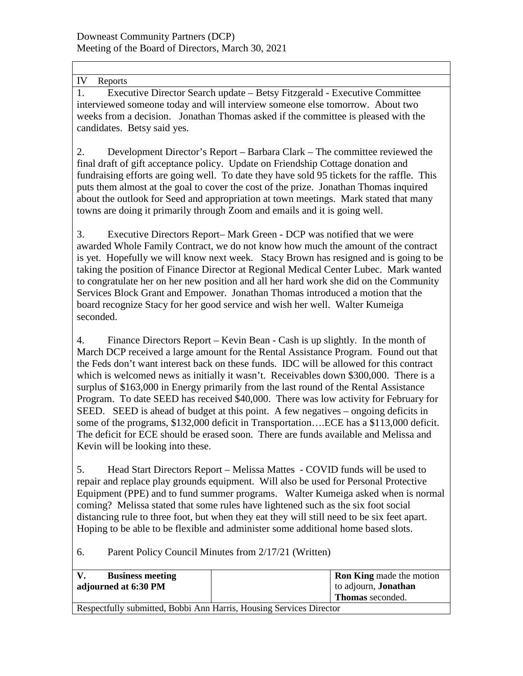IV Reports

1. Executive Director Search update – Betsy Fitzgerald - Executive Committee interviewed someone today and will interview someone else tomorrow. About two weeks from a decision. Jonathan Thomas asked if the committee is pleased with the candidates. Betsy said yes.

2. Development Director's Report – Barbara Clark – The committee reviewed the final draft of gift acceptance policy. Update on Friendship Cottage donation and fundraising efforts are going well. To date they have sold 95 tickets for the raffle. This puts them almost at the goal to cover the cost of the prize. Jonathan Thomas inquired about the outlook for Seed and appropriation at town meetings. Mark stated that many towns are doing it primarily through Zoom and emails and it is going well.

3. Executive Directors Report– Mark Green - DCP was notified that we were awarded Whole Family Contract, we do not know how much the amount of the contract is yet. Hopefully we will know next week. Stacy Brown has resigned and is going to be taking the position of Finance Director at Regional Medical Center Lubec. Mark wanted to congratulate her on her new position and all her hard work she did on the Community Services Block Grant and Empower. Jonathan Thomas introduced a motion that the board recognize Stacy for her good service and wish her well. Walter Kumeiga seconded.

4. Finance Directors Report – Kevin Bean - Cash is up slightly. In the month of March DCP received a large amount for the Rental Assistance Program. Found out that the Feds don't want interest back on these funds. IDC will be allowed for this contract which is welcomed news as initially it wasn't. Receivables down \$300,000. There is a surplus of \$163,000 in Energy primarily from the last round of the Rental Assistance Program. To date SEED has received \$40,000. There was low activity for February for SEED. SEED is ahead of budget at this point. A few negatives – ongoing deficits in some of the programs, \$132,000 deficit in Transportation….ECE has a \$113,000 deficit. The deficit for ECE should be erased soon. There are funds available and Melissa and Kevin will be looking into these.

5. Head Start Directors Report – Melissa Mattes - COVID funds will be used to repair and replace play grounds equipment. Will also be used for Personal Protective Equipment (PPE) and to fund summer programs. Walter Kumeiga asked when is normal coming? Melissa stated that some rules have lightened such as the six foot social distancing rule to three foot, but when they eat they will still need to be six feet apart. Hoping to be able to be flexible and administer some additional home based slots.

6. Parent Policy Council Minutes from 2/17/21 (Written)

| <b>Business meeting</b>                                             | <b>Ron King</b> made the motion |  |
|---------------------------------------------------------------------|---------------------------------|--|
| adjourned at 6:30 PM                                                | to adjourn, <b>Jonathan</b>     |  |
|                                                                     | <b>Thomas</b> seconded.         |  |
| Respectfully submitted, Bobbi Ann Harris, Housing Services Director |                                 |  |